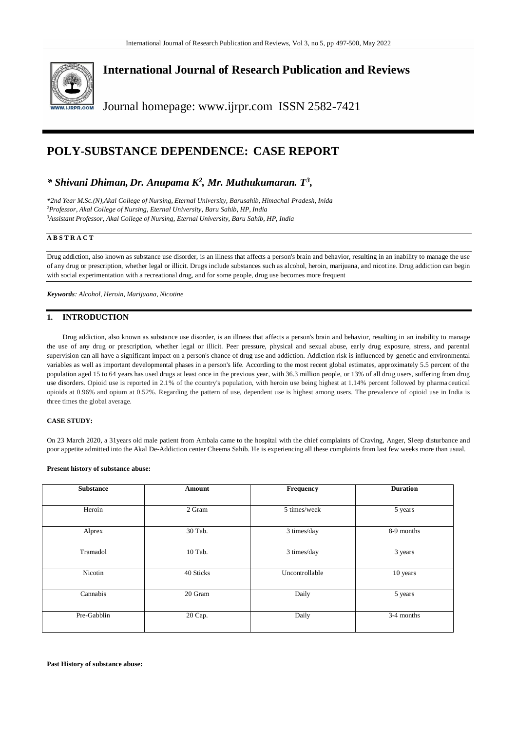

**International Journal of Research Publication and Reviews**

Journal homepage: www.ijrpr.com ISSN 2582-7421

# **POLY-SUBSTANCE DEPENDENCE: CASE REPORT**

## *\* Shivani Dhiman, Dr. Anupama K<sup>2</sup> , Mr. Muthukumaran. T<sup>3</sup> ,*

*\*2nd Year M.Sc.(N),Akal College of Nursing, Eternal University, Barusahib, Himachal Pradesh, Inida <sup>2</sup>Professor, Akal College of Nursing, Eternal University, Baru Sahib, HP, India <sup>3</sup>Assistant Professor, Akal College of Nursing, Eternal University, Baru Sahib, HP, India*

#### **A B S T R A C T**

Drug addiction, also known as substance use disorder, is an illness that affects a person's brain and behavior, resulting in an inability to manage the use of any drug or prescription, whether legal or illicit. Drugs include substances such as alcohol, heroin, marijuana, and nicotine. Drug addiction can begin with social experimentation with a recreational drug, and for some people, drug use becomes more frequent

*Keywords: Alcohol, Heroin, Marijuana, Nicotine*

#### **1. INTRODUCTION**

Drug addiction, also known as substance use disorder, is an illness that affects a person's brain and behavior, resulting in an inability to manage the use of any drug or prescription, whether legal or illicit. Peer pressure, physical and sexual abuse, early drug exposure, stress, and parental supervision can all have a significant impact on a person's chance of drug use and addiction. Addiction risk is influenced by genetic and environmental variables as well as important developmental phases in a person's life. According to the most recent global estimates, approximately 5.5 percent of the population aged 15 to 64 years has used drugs at least once in the previous year, with 36.3 million people, or 13% of all dru g users, suffering from drug use disorders. Opioid use is reported in 2.1% of the country's population, with heroin use being highest at 1.14% percent followed by pharma ceutical opioids at 0.96% and opium at 0.52%. Regarding the pattern of use, dependent use is highest among users. The prevalence of opioid use in India is three times the global average.

#### **CASE STUDY:**

On 23 March 2020, a 31years old male patient from Ambala came to the hospital with the chief complaints of Craving, Anger, Sleep disturbance and poor appetite admitted into the Akal De-Addiction center Cheema Sahib. He is experiencing all these complaints from last few weeks more than usual.

#### **Present history of substance abuse:**

| <b>Substance</b> | <b>Amount</b> | Frequency      | <b>Duration</b> |
|------------------|---------------|----------------|-----------------|
|                  |               |                |                 |
| Heroin           | 2 Gram        | 5 times/week   | 5 years         |
| Alprex           | 30 Tab.       | 3 times/day    | 8-9 months      |
| Tramadol         | 10 Tab.       | 3 times/day    | 3 years         |
| Nicotin          | 40 Sticks     | Uncontrollable | 10 years        |
| Cannabis         | 20 Gram       | Daily          | 5 years         |
| Pre-Gabblin      | 20 Cap.       | Daily          | 3-4 months      |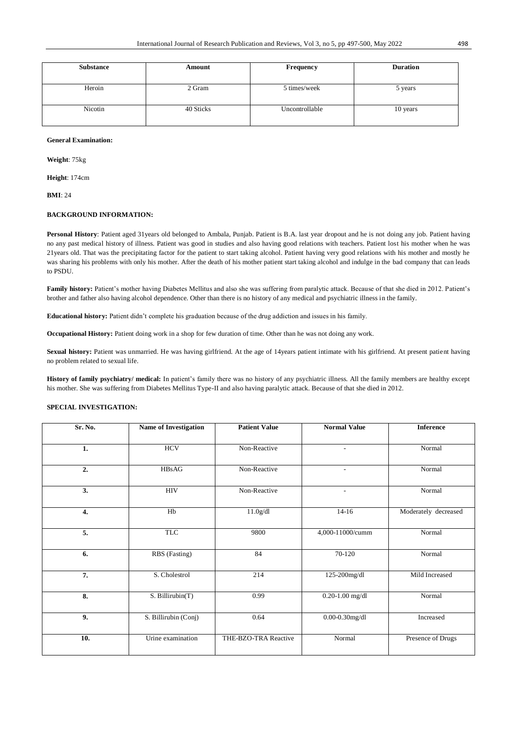| <b>Substance</b> | Amount    | <b>Frequency</b> | <b>Duration</b> |
|------------------|-----------|------------------|-----------------|
| Heroin           | 2 Gram    | 5 times/week     | 5 years         |
| Nicotin          | 40 Sticks | Uncontrollable   | 10 years        |

#### **General Examination:**

**Weight**: 75kg

**Height**: 174cm

**BMI**: 24

## **BACKGROUND INFORMATION:**

**Personal History**: Patient aged 31years old belonged to Ambala, Punjab. Patient is B.A. last year dropout and he is not doing any job. Patient having no any past medical history of illness. Patient was good in studies and also having good relations with teachers. Patient lost his mother when he was 21years old. That was the precipitating factor for the patient to start taking alcohol. Patient having very good relations with his mother and mostly he was sharing his problems with only his mother. After the death of his mother patient start taking alcohol and indulge in the bad company that can leads to PSDU.

**Family history:** Patient's mother having Diabetes Mellitus and also she was suffering from paralytic attack. Because of that she died in 2012. Patient's brother and father also having alcohol dependence. Other than there is no history of any medical and psychiatric illness in the family.

**Educational history:** Patient didn't complete his graduation because of the drug addiction and issues in his family.

**Occupational History:** Patient doing work in a shop for few duration of time. Other than he was not doing any work.

**Sexual history:** Patient was unmarried. He was having girlfriend. At the age of 14years patient intimate with his girlfriend. At present patient having no problem related to sexual life.

**History of family psychiatry/ medical:** In patient's family there was no history of any psychiatric illness. All the family members are healthy except his mother. She was suffering from Diabetes Mellitus Type-II and also having paralytic attack. Because of that she died in 2012.

#### **SPECIAL INVESTIGATION:**

| Sr. No.          | <b>Name of Investigation</b> | <b>Patient Value</b> | <b>Normal Value</b>      | <b>Inference</b>     |
|------------------|------------------------------|----------------------|--------------------------|----------------------|
| 1.               | <b>HCV</b>                   | Non-Reactive         | $\overline{\phantom{a}}$ | Normal               |
| 2.               | HBsAG                        | Non-Reactive         | ٠                        | Normal               |
| 3.               | <b>HIV</b>                   | Non-Reactive         | ٠                        | Normal               |
| $\overline{4}$ . | Hb                           | 11.0g/dl             | $14 - 16$                | Moderately decreased |
| 5.               | <b>TLC</b>                   | 9800                 | 4,000-11000/cumm         | Normal               |
| 6.               | RBS (Fasting)                | 84                   | 70-120                   | Normal               |
| 7.               | S. Cholestrol                | 214                  | 125-200mg/dl             | Mild Increased       |
| 8.               | S. Billirubin(T)             | 0.99                 | $0.20 - 1.00$ mg/dl      | Normal               |
| 9.               | S. Billirubin (Conj)         | 0.64                 | $0.00 - 0.30$ mg/dl      | Increased            |
| 10.              | Urine examination            | THE-BZO-TRA Reactive | Normal                   | Presence of Drugs    |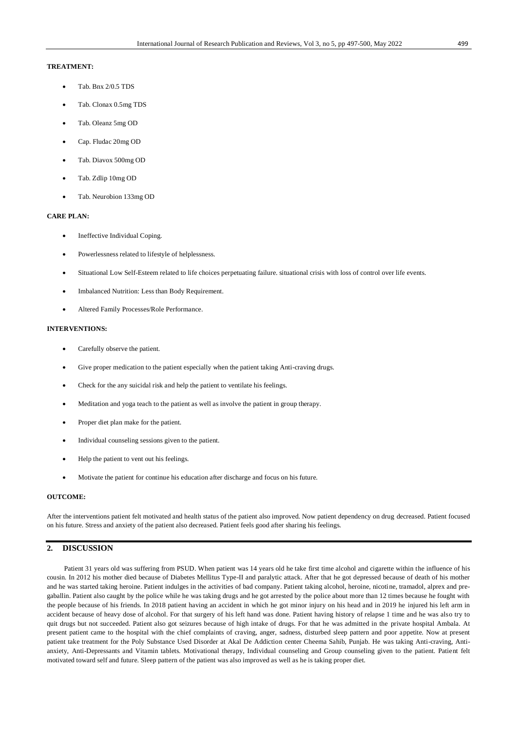### **TREATMENT:**

- Tab. Bnx 2/0.5 TDS
- Tab. Clonax 0.5mg TDS
- Tab. Oleanz 5mg OD
- Cap. Fludac 20mg OD
- Tab. Diavox 500mg OD
- Tab. Zdlip 10mg OD
- Tab. Neurobion 133mg OD

#### **CARE PLAN:**

- Ineffective Individual Coping.
- Powerlessness related to lifestyle of helplessness.
- Situational Low Self-Esteem related to life choices perpetuating failure. situational crisis with loss of control over life events.
- [Imbalanced Nutrition:](https://nurseslabs.com/imbalanced-nutrition-less-body-requirements/) Less than Body Requirement.
- Altered Family Processes/Role Performance.

#### **INTERVENTIONS:**

- Carefully observe the patient.
- Give proper medication to the patient especially when the patient taking Anti-craving drugs.
- Check for the any suicidal risk and help the patient to ventilate his feelings.
- Meditation and yoga teach to the patient as well as involve the patient in group therapy.
- Proper diet plan make for the patient.
- Individual counseling sessions given to the patient.
- Help the patient to vent out his feelings.
- Motivate the patient for continue his education after discharge and focus on his future.

#### **OUTCOME:**

After the interventions patient felt motivated and health status of the patient also improved. Now patient dependency on drug decreased. Patient focused on his future. Stress and anxiety of the patient also decreased. Patient feels good after sharing his feelings.

## **2. DISCUSSION**

Patient 31 years old was suffering from PSUD. When patient was 14 years old he take first time alcohol and cigarette within the influence of his cousin. In 2012 his mother died because of Diabetes Mellitus Type-II and paralytic attack. After that he got depressed because of death of his mother and he was started taking heroine. Patient indulges in the activities of bad company. Patient taking alcohol, heroine, nicotine, tramadol, alprex and pregaballin. Patient also caught by the police while he was taking drugs and he got arrested by the police about more than 12 times because he fought with the people because of his friends. In 2018 patient having an accident in which he got minor injury on his head and in 2019 he injured his left arm in accident because of heavy dose of alcohol. For that surgery of his left hand was done. Patient having history of relapse 1 time and he was also try to quit drugs but not succeeded. Patient also got seizures because of high intake of drugs. For that he was admitted in the private hospital Ambala. At present patient came to the hospital with the chief complaints of craving, anger, sadness, disturbed sleep pattern and poor appetite. Now at present patient take treatment for the Poly Substance Used Disorder at Akal De Addiction center Cheema Sahib, Punjab. He was taking Anti-craving, Antianxiety, Anti-Depressants and Vitamin tablets. Motivational therapy, Individual counseling and Group counseling given to the patient. Patient felt motivated toward self and future. Sleep pattern of the patient was also improved as well as he is taking proper diet.